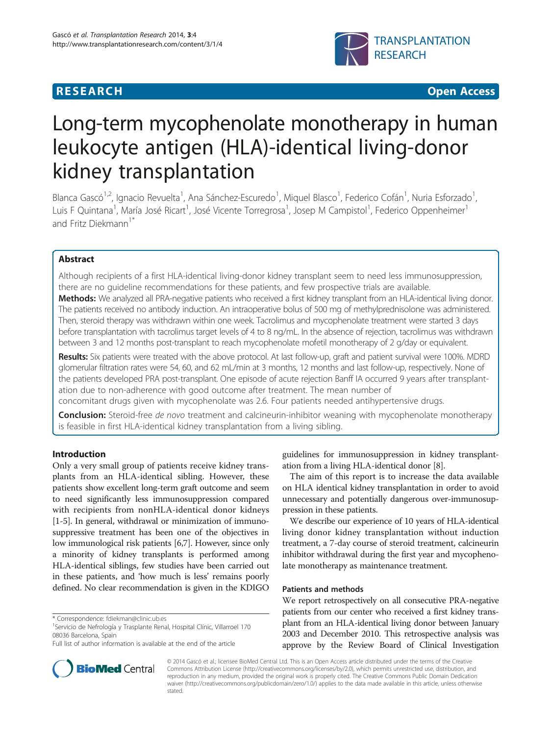## **RESEARCH CHINESE ARCH CHINESE ARCH CHINESE ARCH <b>CHINESE ARCH**



# Long-term mycophenolate monotherapy in human leukocyte antigen (HLA)-identical living-donor kidney transplantation

Blanca Gascó<sup>1,2</sup>, Ignacio Revuelta<sup>1</sup>, Ana Sánchez-Escuredo<sup>1</sup>, Miquel Blasco<sup>1</sup>, Federico Cofán<sup>1</sup>, Nuria Esforzado<sup>1</sup> , Luis F Quintana<sup>1</sup>, María José Ricart<sup>1</sup>, José Vicente Torregrosa<sup>1</sup>, Josep M Campistol<sup>1</sup>, Federico Oppenheimer<sup>1</sup> and Fritz Diekmann<sup>1\*</sup>

## Abstract

Although recipients of a first HLA-identical living-donor kidney transplant seem to need less immunosuppression, there are no guideline recommendations for these patients, and few prospective trials are available. Methods: We analyzed all PRA-negative patients who received a first kidney transplant from an HLA-identical living donor. The patients received no antibody induction. An intraoperative bolus of 500 mg of methylprednisolone was administered. Then, steroid therapy was withdrawn within one week. Tacrolimus and mycophenolate treatment were started 3 days before transplantation with tacrolimus target levels of 4 to 8 ng/mL. In the absence of rejection, tacrolimus was withdrawn between 3 and 12 months post-transplant to reach mycophenolate mofetil monotherapy of 2 g/day or equivalent.

Results: Six patients were treated with the above protocol. At last follow-up, graft and patient survival were 100%. MDRD glomerular filtration rates were 54, 60, and 62 mL/min at 3 months, 12 months and last follow-up, respectively. None of the patients developed PRA post-transplant. One episode of acute rejection Banff IA occurred 9 years after transplantation due to non-adherence with good outcome after treatment. The mean number of

concomitant drugs given with mycophenolate was 2.6. Four patients needed antihypertensive drugs.

Conclusion: Steroid-free de novo treatment and calcineurin-inhibitor weaning with mycophenolate monotherapy is feasible in first HLA-identical kidney transplantation from a living sibling.

## Introduction

Only a very small group of patients receive kidney transplants from an HLA-identical sibling. However, these patients show excellent long-term graft outcome and seem to need significantly less immunosuppression compared with recipients from nonHLA-identical donor kidneys [[1-5\]](#page-3-0). In general, withdrawal or minimization of immunosuppressive treatment has been one of the objectives in low immunological risk patients [[6,](#page-3-0)[7\]](#page-4-0). However, since only a minority of kidney transplants is performed among HLA-identical siblings, few studies have been carried out in these patients, and 'how much is less' remains poorly defined. No clear recommendation is given in the KDIGO



The aim of this report is to increase the data available on HLA identical kidney transplantation in order to avoid unnecessary and potentially dangerous over-immunosuppression in these patients.

We describe our experience of 10 years of HLA-identical living donor kidney transplantation without induction treatment, a 7-day course of steroid treatment, calcineurin inhibitor withdrawal during the first year and mycophenolate monotherapy as maintenance treatment.

#### Patients and methods

We report retrospectively on all consecutive PRA-negative patients from our center who received a first kidney transplant from an HLA-identical living donor between January 2003 and December 2010. This retrospective analysis was approve by the Review Board of Clinical Investigation



© 2014 Gascó et al.; licensee BioMed Central Ltd. This is an Open Access article distributed under the terms of the Creative Commons Attribution License [\(http://creativecommons.org/licenses/by/2.0\)](http://creativecommons.org/licenses/by/2.0), which permits unrestricted use, distribution, and reproduction in any medium, provided the original work is properly cited. The Creative Commons Public Domain Dedication waiver [\(http://creativecommons.org/publicdomain/zero/1.0/\)](http://unos.org/) applies to the data made available in this article, unless otherwise stated.

<sup>\*</sup> Correspondence: [fdiekman@clinic.ub.es](mailto:fdiekman@clinic.ub.es) <sup>1</sup>

<sup>&</sup>lt;sup>1</sup> Servicio de Nefrología y Trasplante Renal, Hospital Clínic, Villarroel 170 08036 Barcelona, Spain

Full list of author information is available at the end of the article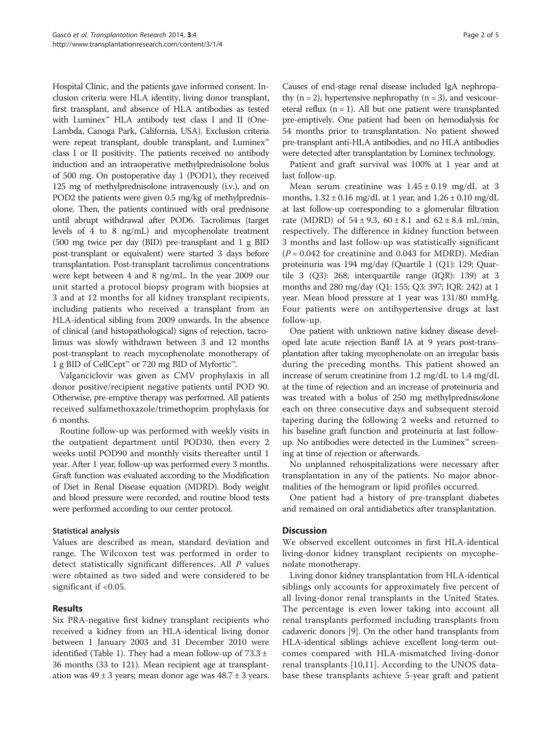Hospital Clínic, and the patients gave informed consent. Inclusion criteria were HLA identity, living donor transplant, first transplant, and absence of HLA antibodies as tested with Luminex<sup>™</sup> HLA antibody test class I and II (One-Lambda, Canoga Park, California, USA). Exclusion criteria were repeat transplant, double transplant, and Luminex™ class I or II positivity. The patients received no antibody induction and an intraoperative methylprednisolone bolus of 500 mg. On postoperative day 1 (POD1), they received 125 mg of methylprednisolone intravenously (i.v.), and on POD2 the patients were given 0.5 mg/kg of methylprednisolone. Then, the patients continued with oral prednisone until abrupt withdrawal after POD6. Tacrolimus (target levels of 4 to 8 ng/mL) and mycophenolate treatment (500 mg twice per day (BID) pre-transplant and 1 g BID post-transplant or equivalent) were started 3 days before transplantation. Post-transplant tacrolimus concentrations were kept between 4 and 8 ng/mL. In the year 2009 our unit started a protocol biopsy program with biopsies at 3 and at 12 months for all kidney transplant recipients, including patients who received a transplant from an HLA-identical sibling from 2009 onwards. In the absence of clinical (and histopathological) signs of rejection, tacrolimus was slowly withdrawn between 3 and 12 months post-transplant to reach mycophenolate monotherapy of 1 g BID of CellCept™ or 720 mg BID of Myfortic™.

Valganciclovir was given as CMV prophylaxis in all donor positive/recipient negative patients until POD 90. Otherwise, pre-emptive therapy was performed. All patients received sulfamethoxazole/trimethoprim prophylaxis for 6 months.

Routine follow-up was performed with weekly visits in the outpatient department until POD30, then every 2 weeks until POD90 and monthly visits thereafter until 1 year. After 1 year, follow-up was performed every 3 months. Graft function was evaluated according to the Modification of Diet in Renal Disease equation (MDRD). Body weight and blood pressure were recorded, and routine blood tests were performed according to our center protocol.

### Statistical analysis

Values are described as mean, standard deviation and range. The Wilcoxon test was performed in order to detect statistically significant differences. All  *values* were obtained as two sided and were considered to be significant if <0.05.

## Results

Six PRA-negative first kidney transplant recipients who received a kidney from an HLA-identical living donor between 1 January 2003 and 31 December 2010 were identified (Table [1\)](#page-2-0). They had a mean follow-up of  $73.3 \pm$ 36 months (33 to 121). Mean recipient age at transplantation was  $49 \pm 3$  years; mean donor age was  $48.7 \pm 3$  years.

Causes of end-stage renal disease included IgA nephropathy  $(n = 2)$ , hypertensive nephropathy  $(n = 3)$ , and vesicoureteral reflux  $(n = 1)$ . All but one patient were transplanted pre-emptively. One patient had been on hemodialysis for 54 months prior to transplantation. No patient showed pre-transplant anti-HLA antibodies, and no HLA antibodies were detected after transplantation by Luminex technology.

Patient and graft survival was 100% at 1 year and at last follow-up.

Mean serum creatinine was  $1.45 \pm 0.19$  mg/dL at 3 months,  $1.32 \pm 0.16$  mg/dL at 1 year, and  $1.26 \pm 0.10$  mg/dL at last follow-up corresponding to a glomerular filtration rate (MDRD) of  $54 \pm 9.3$ ,  $60 \pm 8.1$  and  $62 \pm 8.4$  mL/min, respectively. The difference in kidney function between 3 months and last follow-up was statistically significant  $(P = 0.042$  for creatinine and 0.043 for MDRD). Median proteinuria was 194 mg/day (Quartile 1 (Q1): 129; Quartile 3 (Q3): 268; interquartile range (IQR): 139) at 3 months and 280 mg/day (Q1: 155; Q3: 397; IQR: 242) at 1 year. Mean blood pressure at 1 year was 131/80 mmHg. Four patients were on antihypertensive drugs at last follow-up.

One patient with unknown native kidney disease developed late acute rejection Banff IA at 9 years post-transplantation after taking mycophenolate on an irregular basis during the preceding months. This patient showed an increase of serum creatinine from 1.2 mg/dL to 1.4 mg/dL at the time of rejection and an increase of proteinuria and was treated with a bolus of 250 mg methylprednisolone each on three consecutive days and subsequent steroid tapering during the following 2 weeks and returned to his baseline graft function and proteinuria at last followup. No antibodies were detected in the Luminex™ screening at time of rejection or afterwards.

No unplanned rehospitalizations were necessary after transplantation in any of the patients. No major abnormalities of the hemogram or lipid profiles occurred.

One patient had a history of pre-transplant diabetes and remained on oral antidiabetics after transplantation.

## **Discussion**

We observed excellent outcomes in first HLA-identical living-donor kidney transplant recipients on mycophenolate monotherapy.

Living donor kidney transplantation from HLA-identical siblings only accounts for approximately five percent of all living-donor renal transplants in the United States. The percentage is even lower taking into account all renal transplants performed including transplants from cadaveric donors [\[9\]](#page-4-0). On the other hand transplants from HLA-identical siblings achieve excellent long-term outcomes compared with HLA-mismatched living-donor renal transplants [\[10](#page-4-0),[11\]](#page-4-0). According to the UNOS database these transplants achieve 5-year graft and patient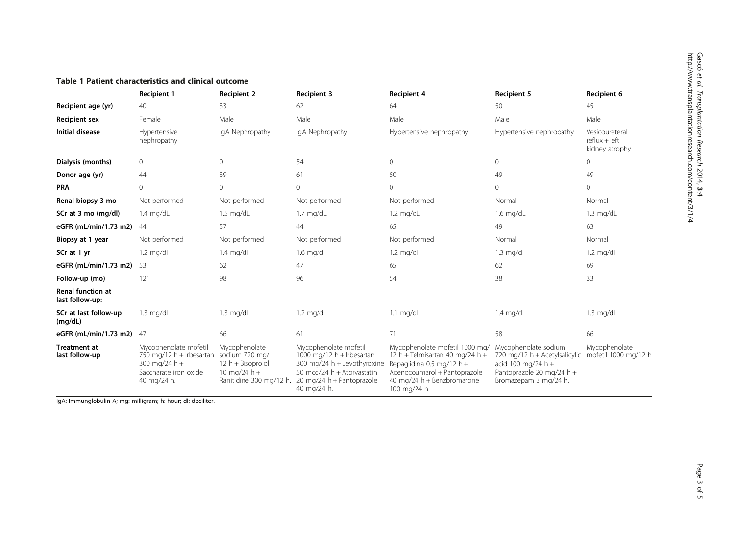|                                             | <b>Recipient 1</b>                                                                                           | <b>Recipient 2</b>                                                                              | <b>Recipient 3</b>                                                                                                                                            | <b>Recipient 4</b>                                                                                                                                                           | <b>Recipient 5</b>                                                                                                                | Recipient 6                                         |
|---------------------------------------------|--------------------------------------------------------------------------------------------------------------|-------------------------------------------------------------------------------------------------|---------------------------------------------------------------------------------------------------------------------------------------------------------------|------------------------------------------------------------------------------------------------------------------------------------------------------------------------------|-----------------------------------------------------------------------------------------------------------------------------------|-----------------------------------------------------|
| Recipient age (yr)                          | 40                                                                                                           | 33                                                                                              | 62                                                                                                                                                            | 64                                                                                                                                                                           | 50                                                                                                                                | 45                                                  |
| <b>Recipient sex</b>                        | Female                                                                                                       | Male                                                                                            | Male                                                                                                                                                          | Male                                                                                                                                                                         | Male                                                                                                                              | Male                                                |
| <b>Initial disease</b>                      | Hypertensive<br>nephropathy                                                                                  | IgA Nephropathy                                                                                 | IgA Nephropathy                                                                                                                                               | Hypertensive nephropathy                                                                                                                                                     | Hypertensive nephropathy                                                                                                          | Vesicoureteral<br>$reflux + left$<br>kidney atrophy |
| Dialysis (months)                           | $\circ$                                                                                                      | 0                                                                                               | 54                                                                                                                                                            | $\mathbf 0$                                                                                                                                                                  | $\circ$                                                                                                                           | $\circ$                                             |
| Donor age (yr)                              | 44                                                                                                           | 39                                                                                              | 61                                                                                                                                                            | 50                                                                                                                                                                           | 49                                                                                                                                | 49                                                  |
| <b>PRA</b>                                  | $\Omega$                                                                                                     | $\circ$                                                                                         | $\mathbf{0}$                                                                                                                                                  | 0                                                                                                                                                                            | $\circ$                                                                                                                           | $\overline{0}$                                      |
| Renal biopsy 3 mo                           | Not performed                                                                                                | Not performed                                                                                   | Not performed                                                                                                                                                 | Not performed                                                                                                                                                                | Normal                                                                                                                            | Normal                                              |
| SCr at 3 mo (mg/dl)                         | $1.4$ mg/dL                                                                                                  | $1.5 \text{ mg/dL}$                                                                             | $1.7 \text{ mg/dL}$                                                                                                                                           | $1.2 \text{ mg/dL}$                                                                                                                                                          | $1.6$ mg/dL                                                                                                                       | $1.3 \text{ mg/dL}$                                 |
| eGFR (mL/min/1.73 m2)                       | 44                                                                                                           | 57                                                                                              | 44                                                                                                                                                            | 65                                                                                                                                                                           | 49                                                                                                                                | 63                                                  |
| Biopsy at 1 year                            | Not performed                                                                                                | Not performed                                                                                   | Not performed                                                                                                                                                 | Not performed                                                                                                                                                                | Normal                                                                                                                            | Normal                                              |
| SCr at 1 yr                                 | $1.2 \text{ mg/dl}$                                                                                          | $1.4$ mg/dl                                                                                     | $1.6$ mg/dl                                                                                                                                                   | $1.2 \text{ mg/dl}$                                                                                                                                                          | $1.3 \text{ mg/dl}$                                                                                                               | $1.2 \text{ mg/dl}$                                 |
| eGFR (mL/min/1.73 m2)                       | 53                                                                                                           | 62                                                                                              | 47                                                                                                                                                            | 65                                                                                                                                                                           | 62                                                                                                                                | 69                                                  |
| Follow-up (mo)                              | 121                                                                                                          | 98                                                                                              | 96                                                                                                                                                            | 54                                                                                                                                                                           | 38                                                                                                                                | 33                                                  |
| <b>Renal function at</b><br>last follow-up: |                                                                                                              |                                                                                                 |                                                                                                                                                               |                                                                                                                                                                              |                                                                                                                                   |                                                     |
| SCr at last follow-up<br>(mg/dL)            | $1.3 \text{ mg/dl}$                                                                                          | $1.3 \text{ mg/dl}$                                                                             | $1.2 \text{ mg/dl}$                                                                                                                                           | $1.1 \text{ mg/dl}$                                                                                                                                                          | $1.4$ mg/dl                                                                                                                       | $1.3 \text{ mg/dl}$                                 |
| eGFR (mL/min/1.73 m2)                       | 47                                                                                                           | 66                                                                                              | 61                                                                                                                                                            | 71                                                                                                                                                                           | 58                                                                                                                                | 66                                                  |
| <b>Treatment at</b><br>last follow-up       | Mycophenolate mofetil<br>750 mg/12 $h$ + Irbesartan<br>300 mg/24 h +<br>Saccharate iron oxide<br>40 mg/24 h. | Mycophenolate<br>sodium 720 mg/<br>12 h + Bisoprolol<br>10 mg/24 h +<br>Ranitidine 300 mg/12 h. | Mycophenolate mofetil<br>1000 mg/12 $h$ + Irbesartan<br>300 mg/24 h + Levothyroxine<br>50 mcg/24 h + Atorvastatin<br>20 mg/24 h + Pantoprazole<br>40 mg/24 h. | Mycophenolate mofetil 1000 mg/<br>12 h + Telmisartan 40 mg/24 h +<br>Repaglidina 0.5 mg/12 h +<br>Acenocoumarol + Pantoprazole<br>40 mg/24 h + Benzbromarone<br>100 mg/24 h. | Mycophenolate sodium<br>720 mg/12 h + Acetylsalicylic<br>acid 100 mg/24 h +<br>Pantoprazole 20 mg/24 h +<br>Bromazepam 3 mg/24 h. | Mycophenolate<br>mofetil 1000 mg/12 h               |

## <span id="page-2-0"></span>Table 1 Patient characteristics and clinical outcome

IgA: Immunglobulin A; mg: milligram; h: hour; dl: deciliter.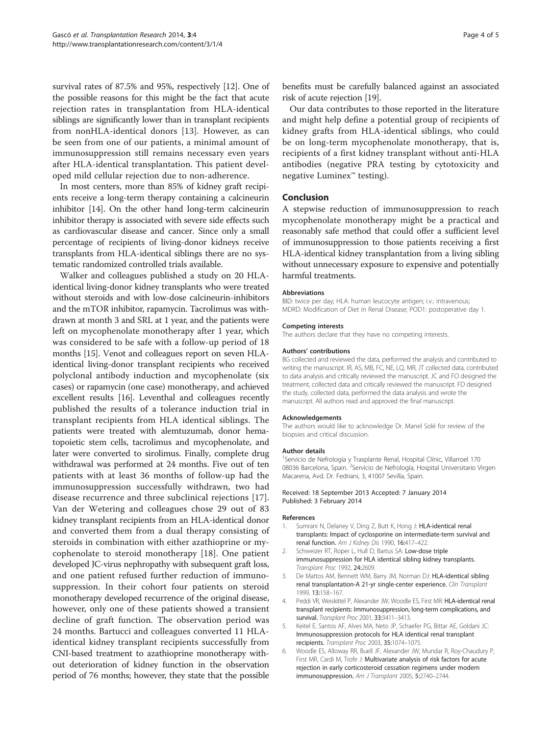<span id="page-3-0"></span>survival rates of 87.5% and 95%, respectively [[12\]](#page-4-0). One of the possible reasons for this might be the fact that acute rejection rates in transplantation from HLA-identical siblings are significantly lower than in transplant recipients from nonHLA-identical donors [\[13](#page-4-0)]. However, as can be seen from one of our patients, a minimal amount of immunosuppression still remains necessary even years after HLA-identical transplantation. This patient developed mild cellular rejection due to non-adherence.

In most centers, more than 85% of kidney graft recipients receive a long-term therapy containing a calcineurin inhibitor [[14](#page-4-0)]. On the other hand long-term calcineurin inhibitor therapy is associated with severe side effects such as cardiovascular disease and cancer. Since only a small percentage of recipients of living-donor kidneys receive transplants from HLA-identical siblings there are no systematic randomized controlled trials available.

Walker and colleagues published a study on 20 HLAidentical living-donor kidney transplants who were treated without steroids and with low-dose calcineurin-inhibitors and the mTOR inhibitor, rapamycin. Tacrolimus was withdrawn at month 3 and SRL at 1 year, and the patients were left on mycophenolate monotherapy after 1 year, which was considered to be safe with a follow-up period of 18 months [\[15\]](#page-4-0). Venot and colleagues report on seven HLAidentical living-donor transplant recipients who received polyclonal antibody induction and mycophenolate (six cases) or rapamycin (one case) monotherapy, and achieved excellent results [[16](#page-4-0)]. Leventhal and colleagues recently published the results of a tolerance induction trial in transplant recipients from HLA identical siblings. The patients were treated with alemtuzumab, donor hematopoietic stem cells, tacrolimus and mycophenolate, and later were converted to sirolimus. Finally, complete drug withdrawal was performed at 24 months. Five out of ten patients with at least 36 months of follow-up had the immunosuppression successfully withdrawn, two had disease recurrence and three subclinical rejections [[17](#page-4-0)]. Van der Wetering and colleagues chose 29 out of 83 kidney transplant recipients from an HLA-identical donor and converted them from a dual therapy consisting of steroids in combination with either azathioprine or mycophenolate to steroid monotherapy [[18\]](#page-4-0). One patient developed JC-virus nephropathy with subsequent graft loss, and one patient refused further reduction of immunosuppression. In their cohort four patients on steroid monotherapy developed recurrence of the original disease, however, only one of these patients showed a transient decline of graft function. The observation period was 24 months. Bartucci and colleagues converted 11 HLAidentical kidney transplant recipients successfully from CNI-based treatment to azathioprine monotherapy without deterioration of kidney function in the observation period of 76 months; however, they state that the possible

benefits must be carefully balanced against an associated risk of acute rejection [[19](#page-4-0)].

Our data contributes to those reported in the literature and might help define a potential group of recipients of kidney grafts from HLA-identical siblings, who could be on long-term mycophenolate monotherapy, that is, recipients of a first kidney transplant without anti-HLA antibodies (negative PRA testing by cytotoxicity and negative Luminex™ testing).

## Conclusion

A stepwise reduction of immunosuppression to reach mycophenolate monotherapy might be a practical and reasonably safe method that could offer a sufficient level of immunosuppression to those patients receiving a first HLA-identical kidney transplantation from a living sibling without unnecessary exposure to expensive and potentially harmful treatments.

#### Abbreviations

BID: twice per day; HLA: human leucocyte antigen; i.v.: intravenous; MDRD: Modification of Diet in Renal Disease; POD1: postoperative day 1.

#### Competing interests

The authors declare that they have no competing interests.

#### Authors' contributions

BG collected and reviewed the data, performed the analysis and contributed to writing the manuscript. IR, AS, MB, FC, NE, LQ, MR, JT collected data, contributed to data analysis and critically reviewed the manuscript. JC and FO designed the treatment, collected data and critically reviewed the manuscript. FD designed the study, collected data, performed the data analysis and wrote the manuscript. All authors read and approved the final manuscript.

#### Acknowledgements

The authors would like to acknowledge Dr. Manel Solé for review of the biopsies and critical discussion.

#### Author details

<sup>1</sup>Servicio de Nefrología y Trasplante Renal, Hospital Clínic, Villarroel 170 08036 Barcelona, Spain. <sup>2</sup>Servicio de Nefrología, Hospital Universitario Virgen Macarena, Avd. Dr. Fedriani, 3, 41007 Sevilla, Spain.

#### Received: 18 September 2013 Accepted: 7 January 2014 Published: 3 February 2014

#### References

- Sumrani N, Delaney V, Ding Z, Butt K, Hong J: HLA-identical renal transplants: Impact of cyclosporine on intermediate-term survival and renal function. Am J Kidney Dis 1990, 16:417–422.
- 2. Schweizer RT, Roper L, Hull D, Bartus SA: Low-dose triple immunosuppression for HLA identical sibling kidney transplants. Transplant Proc 1992, 24:2609.
- 3. De Mattos AM, Bennett WM, Barry JM, Norman DJ: HLA-identical sibling renal transplantation-A 21-yr single-center experience. Clin Transplant 1999, 13:158–167.
- 4. Peddi VR, Weiskittel P, Alexander JW, Woodle ES, First MR: HLA-identical renal transplant recipients: Immunosuppression, long-term complications, and survival. Transplant Proc 2001, 33:3411–3413.
- 5. Keitel E, Santos AF, Alves MA, Neto JP, Schaefer PG, Bittar AE, Goldani JC: Immunosuppression protocols for HLA identical renal transplant recipients. Transplant Proc 2003, 35:1074–1075.
- 6. Woodle ES, Alloway RR, Buell JF, Alexander JW, Mundar R, Roy-Chaudury P, First MR, Cardi M, Trofe J: Multivariate analysis of risk factors for acute rejection in early corticosteroid cessation regimens under modern immunosuppression. Am J Transplant 2005, 5:2740–2744.